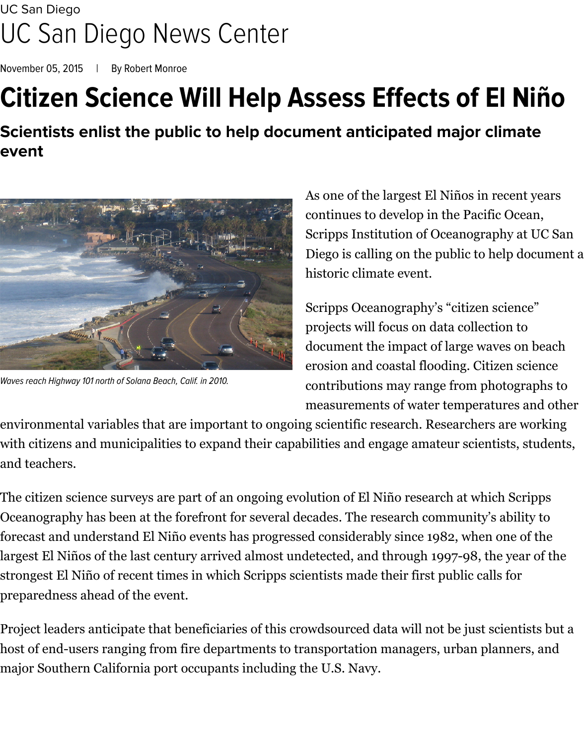## [UC San Diego](http://ucsd.edu/) [UC San Diego News Center](http://ucsdnews.ucsd.edu/)

[November 05, 2015](http://ucsdnews.ucsd.edu/archives/date/051115) | By [Robert Monroe](http://ucsdnews.ucsd.edu/archives/author/Robert%20Monroe)

## **Citizen Science Will Help Assess Effects of El Niño**

**Scientists enlist the public to help document anticipated major climate event**



*Waves reach Highway 101 north of Solana Beach, Calif. in 2010.*

As one of the largest [El Niños](https://scripps.ucsd.edu/news/el-nino) in recent years continues to develop in the Pacific Ocean, Scripps Institution of Oceanography at UC San Diego is calling on the public to help document a historic climate event.

Scripps Oceanography's "citizen science" projects will focus on data collection to document the impact of large waves on beach erosion and coastal flooding. Citizen science contributions may range from photographs to measurements of water temperatures and other

environmental variables that are important to ongoing scientific research. Researchers are working with citizens and municipalities to expand their capabilities and engage amateur scientists, students, and teachers.

The citizen science surveys are part of an ongoing evolution of El Niño research at which Scripps Oceanography has been at the forefront for several decades. The research community's ability to forecast and understand El Niño events has progressed considerably since 1982, when one of the largest El Niños of the last century arrived almost undetected, and through 1997-98, the year of the strongest El Niño of recent times in which Scripps scientists made their first public calls for preparedness ahead of the event.

Project leaders anticipate that beneficiaries of this crowdsourced data will not be just scientists but a host of end-users ranging from fire departments to transportation managers, urban planners, and major Southern California port occupants including the U.S. Navy.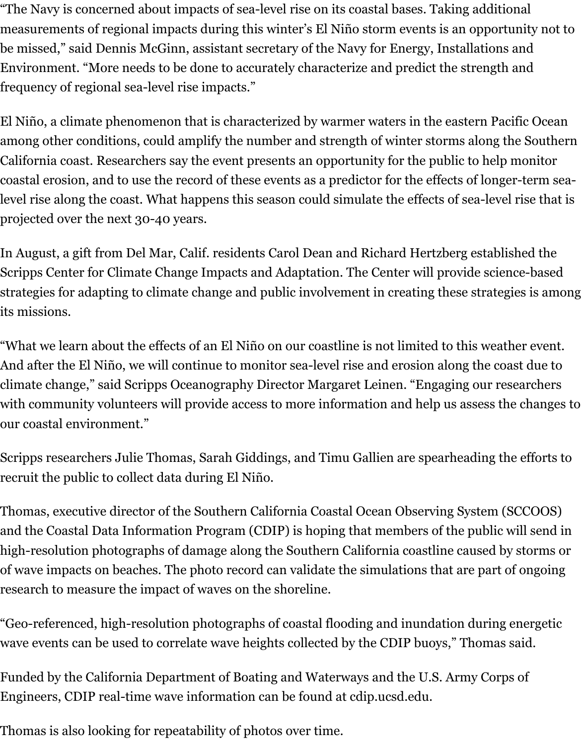"The Navy is concerned about impacts of sea-level rise on its coastal bases. Taking additional measurements of regional impacts during this winter's El Niño storm events is an opportunity not to be missed," said Dennis McGinn, assistant secretary of the Navy for Energy, Installations and Environment. "More needs to be done to accurately characterize and predict the strength and frequency of regional sea-level rise impacts."

El Niño, a climate phenomenon that is characterized by warmer waters in the eastern Pacific Ocean among other conditions, could amplify the number and strength of winter storms along the Southern California coast. Researchers say the event presents an opportunity for the public to help monitor coastal erosion, and to use the record of these events as a predictor for the effects of longer-term sealevel rise along the coast. What happens this season could simulate the effects of sea-level rise that is projected over the next 30-40 years.

In August, a gift from Del Mar, Calif. residents Carol Dean and Richard Hertzberg established the Scripps Center for Climate Change Impacts and Adaptation. The Center will provide science-based strategies for adapting to climate change and public involvement in creating these strategies is among its missions.

"What we learn about the effects of an El Niño on our coastline is not limited to this weather event. And after the El Niño, we will continue to monitor sea-level rise and erosion along the coast due to climate change," said Scripps Oceanography Director Margaret Leinen. "Engaging our researchers with community volunteers will provide access to more information and help us assess the changes to our coastal environment."

Scripps researchers Julie Thomas, Sarah Giddings, and Timu Gallien are spearheading the efforts to recruit the public to collect data during El Niño.

Thomas, executive director of the Southern California Coastal Ocean Observing System (SCCOOS) and the Coastal Data Information Program (CDIP) is hoping that members of the public will send in high-resolution photographs of damage along the Southern California coastline caused by storms or of wave impacts on beaches. The photo record can validate the simulations that are part of ongoing research to [measure the impact of waves on the shoreline.](http://www.sccoos.org/data/flooding-storm-surge-models/)

"Geo-referenced, high-resolution photographs of coastal flooding and inundation during energetic wave events can be used to correlate wave heights collected by the CDIP buoys," Thomas said.

Funded by the California Department of Boating and Waterways and the U.S. Army Corps of Engineers, CDIP real-time wave information can be found at cdip.ucsd.edu.

Thomas is also looking for repeatability of photos over time.